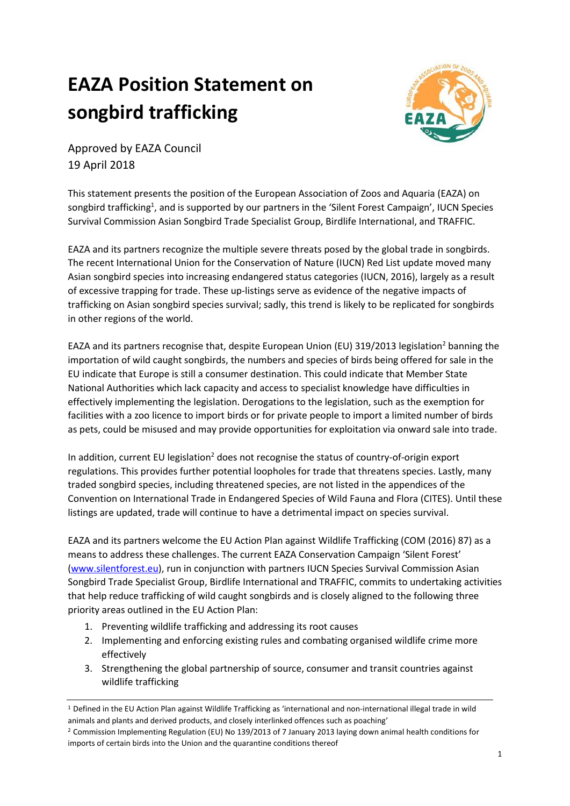# **EAZA Position Statement on songbird trafficking**



Approved by EAZA Council 19 April 2018

This statement presents the position of the European Association of Zoos and Aquaria (EAZA) on songbird trafficking<sup>1</sup>, and is supported by our partners in the 'Silent Forest Campaign', IUCN Species Survival Commission Asian Songbird Trade Specialist Group, Birdlife International, and TRAFFIC.

EAZA and its partners recognize the multiple severe threats posed by the global trade in songbirds. The recent International Union for the Conservation of Nature (IUCN) Red List update moved many Asian songbird species into increasing endangered status categories (IUCN, 2016), largely as a result of excessive trapping for trade. These up-listings serve as evidence of the negative impacts of trafficking on Asian songbird species survival; sadly, this trend is likely to be replicated for songbirds in other regions of the world.

EAZA and its partners recognise that, despite European Union (EU) 319/2013 legislation<sup>2</sup> banning the importation of wild caught songbirds, the numbers and species of birds being offered for sale in the EU indicate that Europe is still a consumer destination. This could indicate that Member State National Authorities which lack capacity and access to specialist knowledge have difficulties in effectively implementing the legislation. Derogations to the legislation, such as the exemption for facilities with a zoo licence to import birds or for private people to import a limited number of birds as pets, could be misused and may provide opportunities for exploitation via onward sale into trade.

In addition, current EU legislation<sup>2</sup> does not recognise the status of country-of-origin export regulations. This provides further potential loopholes for trade that threatens species. Lastly, many traded songbird species, including threatened species, are not listed in the appendices of the Convention on International Trade in Endangered Species of Wild Fauna and Flora (CITES). Until these listings are updated, trade will continue to have a detrimental impact on species survival.

EAZA and its partners welcome the EU Action Plan against Wildlife Trafficking (COM (2016) 87) as a means to address these challenges. The current EAZA Conservation Campaign 'Silent Forest' [\(www.silentforest.eu\)](http://www.silentforest.eu/), run in conjunction with partners IUCN Species Survival Commission Asian Songbird Trade Specialist Group, Birdlife International and TRAFFIC, commits to undertaking activities that help reduce trafficking of wild caught songbirds and is closely aligned to the following three priority areas outlined in the EU Action Plan:

- 1. Preventing wildlife trafficking and addressing its root causes
- 2. Implementing and enforcing existing rules and combating organised wildlife crime more effectively
- 3. Strengthening the global partnership of source, consumer and transit countries against wildlife trafficking

<sup>1</sup> Defined in the EU Action Plan against Wildlife Trafficking as 'international and non-international illegal trade in wild animals and plants and derived products, and closely interlinked offences such as poaching'

<sup>2</sup> Commission Implementing Regulation (EU) No 139/2013 of 7 January 2013 laying down animal health conditions for imports of certain birds into the Union and the quarantine conditions thereof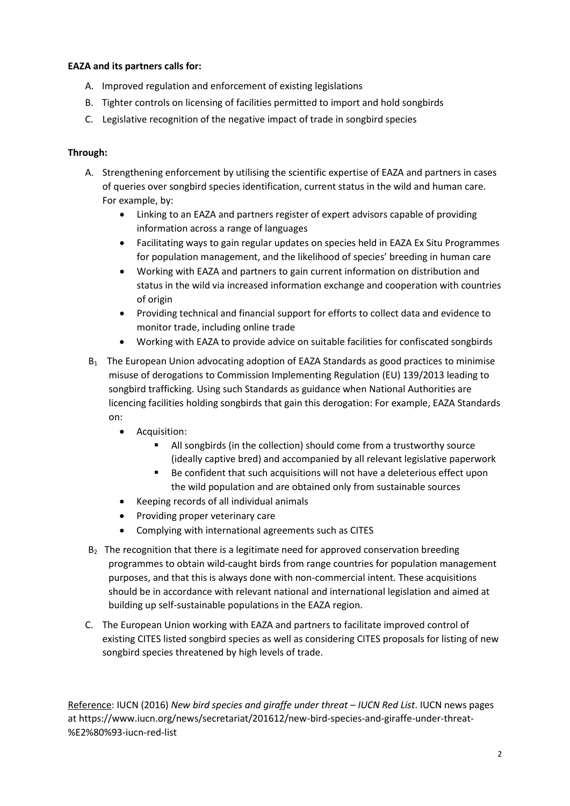# **EAZA and its partners calls for:**

- A. Improved regulation and enforcement of existing legislations
- B. Tighter controls on licensing of facilities permitted to import and hold songbirds
- C. Legislative recognition of the negative impact of trade in songbird species

# **Through:**

- A. Strengthening enforcement by utilising the scientific expertise of EAZA and partners in cases of queries over songbird species identification, current status in the wild and human care. For example, by:
	- Linking to an EAZA and partners register of expert advisors capable of providing information across a range of languages
	- Facilitating ways to gain regular updates on species held in EAZA Ex Situ Programmes for population management, and the likelihood of species' breeding in human care
	- Working with EAZA and partners to gain current information on distribution and status in the wild via increased information exchange and cooperation with countries of origin
	- Providing technical and financial support for efforts to collect data and evidence to monitor trade, including online trade
	- Working with EAZA to provide advice on suitable facilities for confiscated songbirds
- B<sub>1</sub> The European Union advocating adoption of EAZA Standards as good practices to minimise misuse of derogations to Commission Implementing Regulation (EU) 139/2013 leading to songbird trafficking. Using such Standards as guidance when National Authorities are licencing facilities holding songbirds that gain this derogation: For example, EAZA Standards on:
	- Acquisition:
		- All songbirds (in the collection) should come from a trustworthy source (ideally captive bred) and accompanied by all relevant legislative paperwork
		- Be confident that such acquisitions will not have a deleterious effect upon the wild population and are obtained only from sustainable sources
	- Keeping records of all individual animals
	- Providing proper veterinary care
	- Complying with international agreements such as CITES
- $B<sub>2</sub>$  The recognition that there is a legitimate need for approved conservation breeding programmes to obtain wild-caught birds from range countries for population management purposes, and that this is always done with non-commercial intent. These acquisitions should be in accordance with relevant national and international legislation and aimed at building up self-sustainable populations in the EAZA region.
- C. The European Union working with EAZA and partners to facilitate improved control of existing CITES listed songbird species as well as considering CITES proposals for listing of new songbird species threatened by high levels of trade.

Reference: IUCN (2016) *New bird species and giraffe under threat – IUCN Red List*. IUCN news pages at https://www.iucn.org/news/secretariat/201612/new-bird-species-and-giraffe-under-threat- %E2%80%93-iucn-red-list